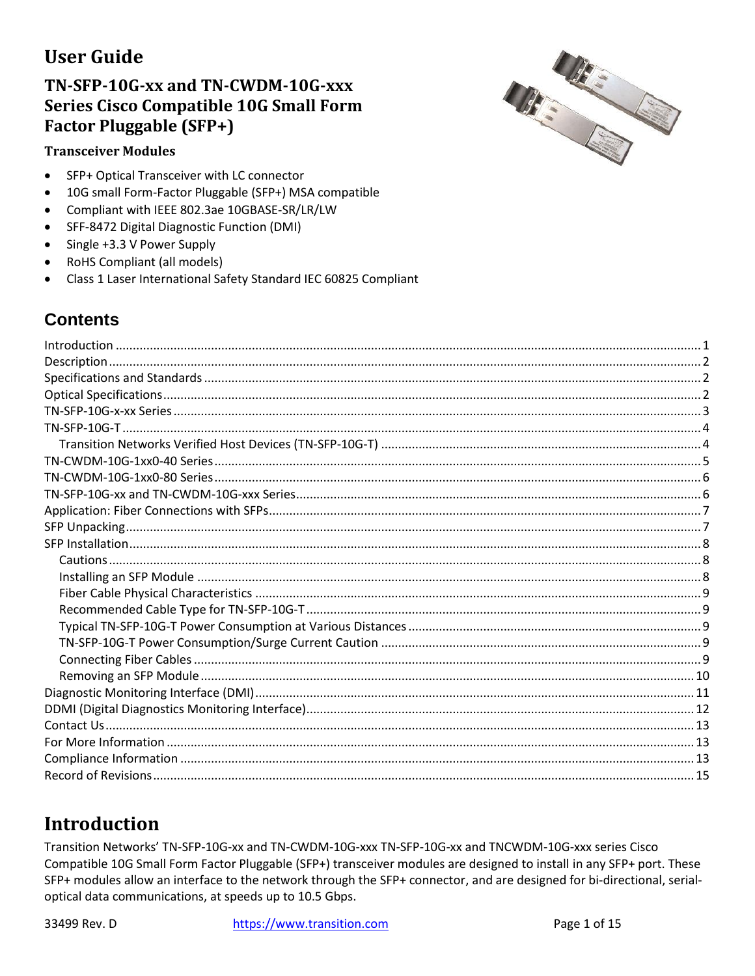## **IIser Guide**

### TN-SFP-10G-xx and TN-CWDM-10G-xxx **Series Cisco Compatible 10G Small Form Factor Pluggable (SFP+)**

#### **Transceiver Modules**

- SFP+ Optical Transceiver with LC connector  $\bullet$
- 10G small Form-Factor Pluggable (SFP+) MSA compatible  $\bullet$
- Compliant with IEEE 802.3ae 10GBASE-SR/LR/LW  $\bullet$
- SFF-8472 Digital Diagnostic Function (DMI)  $\bullet$
- Single +3.3 V Power Supply  $\bullet$
- RoHS Compliant (all models)  $\bullet$
- Class 1 Laser International Safety Standard IEC 60825 Compliant  $\bullet$

### **Contents**

## <span id="page-0-0"></span>**Introduction**

Transition Networks' TN-SFP-10G-xx and TN-CWDM-10G-xxx TN-SFP-10G-xx and TNCWDM-10G-xxx series Cisco Compatible 10G Small Form Factor Pluggable (SFP+) transceiver modules are designed to install in any SFP+ port. These SFP+ modules allow an interface to the network through the SFP+ connector, and are designed for bi-directional, serialoptical data communications, at speeds up to 10.5 Gbps.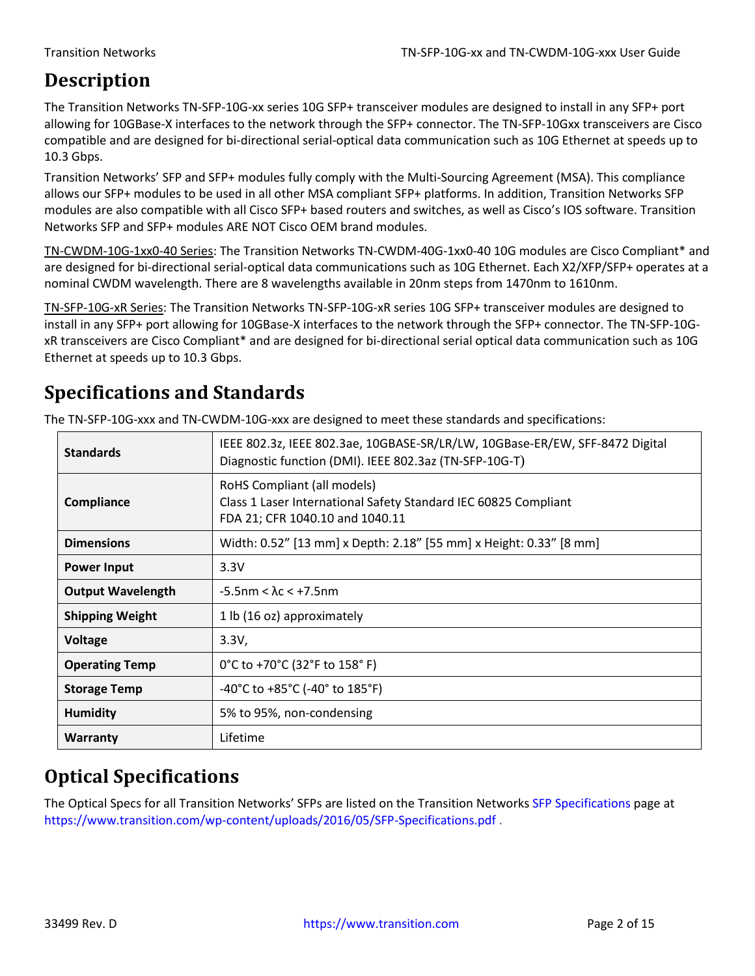## <span id="page-1-0"></span>**Description**

The Transition Networks TN-SFP-10G-xx series 10G SFP+ transceiver modules are designed to install in any SFP+ port allowing for 10GBase-X interfaces to the network through the SFP+ connector. The TN-SFP-10Gxx transceivers are Cisco compatible and are designed for bi-directional serial-optical data communication such as 10G Ethernet at speeds up to 10.3 Gbps.

Transition Networks' SFP and SFP+ modules fully comply with the Multi-Sourcing Agreement (MSA). This compliance allows our SFP+ modules to be used in all other MSA compliant SFP+ platforms. In addition, Transition Networks SFP modules are also compatible with all Cisco SFP+ based routers and switches, as well as Cisco's IOS software. Transition Networks SFP and SFP+ modules ARE NOT Cisco OEM brand modules.

TN-CWDM-10G-1xx0-40 Series: The Transition Networks TN-CWDM-40G-1xx0-40 10G modules are Cisco Compliant\* and are designed for bi-directional serial-optical data communications such as 10G Ethernet. Each X2/XFP/SFP+ operates at a nominal CWDM wavelength. There are 8 wavelengths available in 20nm steps from 1470nm to 1610nm.

TN-SFP-10G-xR Series: The Transition Networks TN-SFP-10G-xR series 10G SFP+ transceiver modules are designed to install in any SFP+ port allowing for 10GBase-X interfaces to the network through the SFP+ connector. The TN-SFP-10GxR transceivers are Cisco Compliant\* and are designed for bi-directional serial optical data communication such as 10G Ethernet at speeds up to 10.3 Gbps.

## <span id="page-1-1"></span>**Specifications and Standards**

The TN-SFP-10G-xxx and TN-CWDM-10G-xxx are designed to meet these standards and specifications:

| <b>Standards</b>         | IEEE 802.3z, IEEE 802.3ae, 10GBASE-SR/LR/LW, 10GBase-ER/EW, SFF-8472 Digital<br>Diagnostic function (DMI). IEEE 802.3az (TN-SFP-10G-T) |  |  |  |  |
|--------------------------|----------------------------------------------------------------------------------------------------------------------------------------|--|--|--|--|
| Compliance               | RoHS Compliant (all models)<br>Class 1 Laser International Safety Standard IEC 60825 Compliant<br>FDA 21; CFR 1040.10 and 1040.11      |  |  |  |  |
| <b>Dimensions</b>        | Width: 0.52" [13 mm] x Depth: 2.18" [55 mm] x Height: 0.33" [8 mm]                                                                     |  |  |  |  |
| <b>Power Input</b>       | 3.3V                                                                                                                                   |  |  |  |  |
| <b>Output Wavelength</b> | $-5.5$ nm < $\lambda$ c < +7.5nm                                                                                                       |  |  |  |  |
| <b>Shipping Weight</b>   | 1 lb (16 oz) approximately                                                                                                             |  |  |  |  |
| <b>Voltage</b>           | 3.3V,                                                                                                                                  |  |  |  |  |
| <b>Operating Temp</b>    | 0°C to +70°C (32°F to 158°F)                                                                                                           |  |  |  |  |
| <b>Storage Temp</b>      | $-40^{\circ}$ C to $+85^{\circ}$ C ( $-40^{\circ}$ to $185^{\circ}$ F)                                                                 |  |  |  |  |
| <b>Humidity</b>          | 5% to 95%, non-condensing                                                                                                              |  |  |  |  |
| Warranty                 | Lifetime                                                                                                                               |  |  |  |  |

### <span id="page-1-2"></span>**Optical Specifications**

The Optical Specs for all Transition Networks' SFPs are listed on the Transition Networks [SFP Specifications](https://www.transition.com/wp-content/uploads/2016/05/SFP-Specifications.pdf) page at <https://www.transition.com/wp-content/uploads/2016/05/SFP-Specifications.pdf> .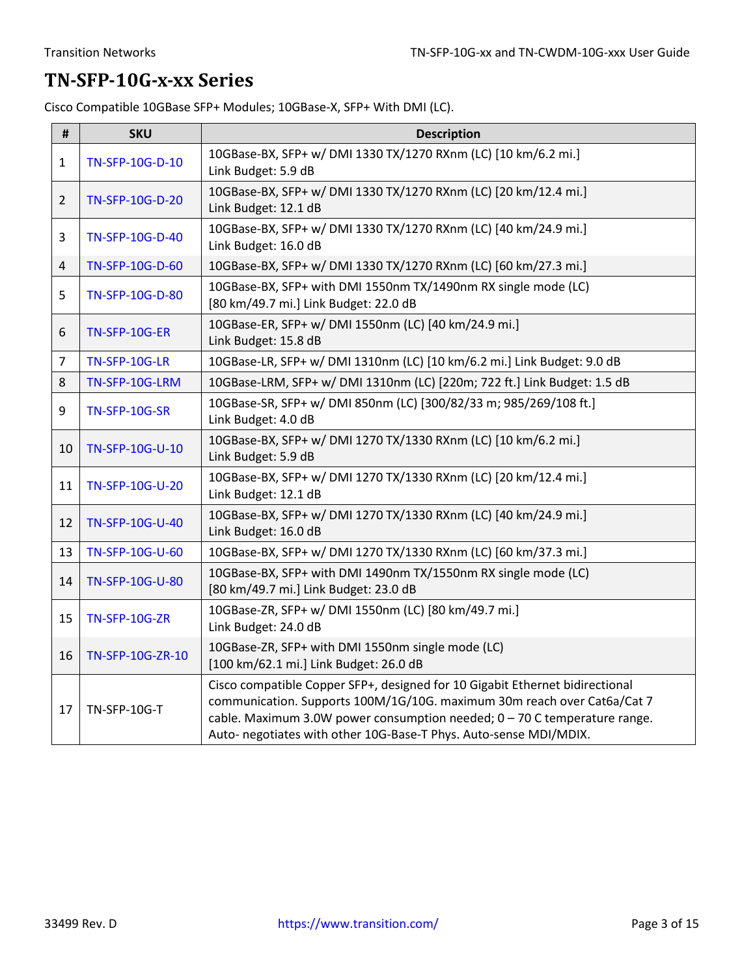### <span id="page-2-0"></span>**TN-SFP-10G-x-xx Series**

Cisco Compatible 10GBase SFP+ Modules; 10GBase-X, SFP+ With DMI (LC).

| #              | <b>SKU</b>                                                                                                                                                                                                                                                                                                                  | <b>Description</b>                                                                                      |  |  |  |
|----------------|-----------------------------------------------------------------------------------------------------------------------------------------------------------------------------------------------------------------------------------------------------------------------------------------------------------------------------|---------------------------------------------------------------------------------------------------------|--|--|--|
| $\mathbf{1}$   | TN-SFP-10G-D-10                                                                                                                                                                                                                                                                                                             | 10GBase-BX, SFP+ w/ DMI 1330 TX/1270 RXnm (LC) [10 km/6.2 mi.]<br>Link Budget: 5.9 dB                   |  |  |  |
| $\overline{2}$ | TN-SFP-10G-D-20                                                                                                                                                                                                                                                                                                             | 10GBase-BX, SFP+ w/ DMI 1330 TX/1270 RXnm (LC) [20 km/12.4 mi.]<br>Link Budget: 12.1 dB                 |  |  |  |
| 3              | TN-SFP-10G-D-40                                                                                                                                                                                                                                                                                                             | 10GBase-BX, SFP+ w/ DMI 1330 TX/1270 RXnm (LC) [40 km/24.9 mi.]<br>Link Budget: 16.0 dB                 |  |  |  |
| 4              | TN-SFP-10G-D-60                                                                                                                                                                                                                                                                                                             | 10GBase-BX, SFP+ w/ DMI 1330 TX/1270 RXnm (LC) [60 km/27.3 mi.]                                         |  |  |  |
| 5.             | TN-SFP-10G-D-80                                                                                                                                                                                                                                                                                                             | 10GBase-BX, SFP+ with DMI 1550nm TX/1490nm RX single mode (LC)<br>[80 km/49.7 mi.] Link Budget: 22.0 dB |  |  |  |
| 6              | TN-SFP-10G-ER                                                                                                                                                                                                                                                                                                               | 10GBase-ER, SFP+ w/ DMI 1550nm (LC) [40 km/24.9 mi.]<br>Link Budget: 15.8 dB                            |  |  |  |
| $\overline{7}$ | TN-SFP-10G-LR                                                                                                                                                                                                                                                                                                               | 10GBase-LR, SFP+ w/ DMI 1310nm (LC) [10 km/6.2 mi.] Link Budget: 9.0 dB                                 |  |  |  |
| 8              | TN-SFP-10G-LRM                                                                                                                                                                                                                                                                                                              | 10GBase-LRM, SFP+ w/ DMI 1310nm (LC) [220m; 722 ft.] Link Budget: 1.5 dB                                |  |  |  |
| 9              | <b>TN-SFP-10G-SR</b>                                                                                                                                                                                                                                                                                                        | 10GBase-SR, SFP+ w/ DMI 850nm (LC) [300/82/33 m; 985/269/108 ft.]<br>Link Budget: 4.0 dB                |  |  |  |
| 10             | TN-SFP-10G-U-10                                                                                                                                                                                                                                                                                                             | 10GBase-BX, SFP+ w/ DMI 1270 TX/1330 RXnm (LC) [10 km/6.2 mi.]<br>Link Budget: 5.9 dB                   |  |  |  |
| 11             | TN-SFP-10G-U-20                                                                                                                                                                                                                                                                                                             | 10GBase-BX, SFP+ w/ DMI 1270 TX/1330 RXnm (LC) [20 km/12.4 mi.]<br>Link Budget: 12.1 dB                 |  |  |  |
| 12             | TN-SFP-10G-U-40                                                                                                                                                                                                                                                                                                             | 10GBase-BX, SFP+ w/ DMI 1270 TX/1330 RXnm (LC) [40 km/24.9 mi.]<br>Link Budget: 16.0 dB                 |  |  |  |
| 13             | TN-SFP-10G-U-60                                                                                                                                                                                                                                                                                                             | 10GBase-BX, SFP+ w/ DMI 1270 TX/1330 RXnm (LC) [60 km/37.3 mi.]                                         |  |  |  |
| 14             | 10GBase-BX, SFP+ with DMI 1490nm TX/1550nm RX single mode (LC)<br>TN-SFP-10G-U-80<br>[80 km/49.7 mi.] Link Budget: 23.0 dB                                                                                                                                                                                                  |                                                                                                         |  |  |  |
| 15             | <b>TN-SFP-10G-ZR</b>                                                                                                                                                                                                                                                                                                        | 10GBase-ZR, SFP+ w/ DMI 1550nm (LC) [80 km/49.7 mi.]<br>Link Budget: 24.0 dB                            |  |  |  |
| 16             | TN-SFP-10G-ZR-10                                                                                                                                                                                                                                                                                                            | 10GBase-ZR, SFP+ with DMI 1550nm single mode (LC)<br>[100 km/62.1 mi.] Link Budget: 26.0 dB             |  |  |  |
| 17             | Cisco compatible Copper SFP+, designed for 10 Gigabit Ethernet bidirectional<br>communication. Supports 100M/1G/10G. maximum 30m reach over Cat6a/Cat 7<br>TN-SFP-10G-T<br>cable. Maximum 3.0W power consumption needed; $0 - 70$ C temperature range.<br>Auto- negotiates with other 10G-Base-T Phys. Auto-sense MDI/MDIX. |                                                                                                         |  |  |  |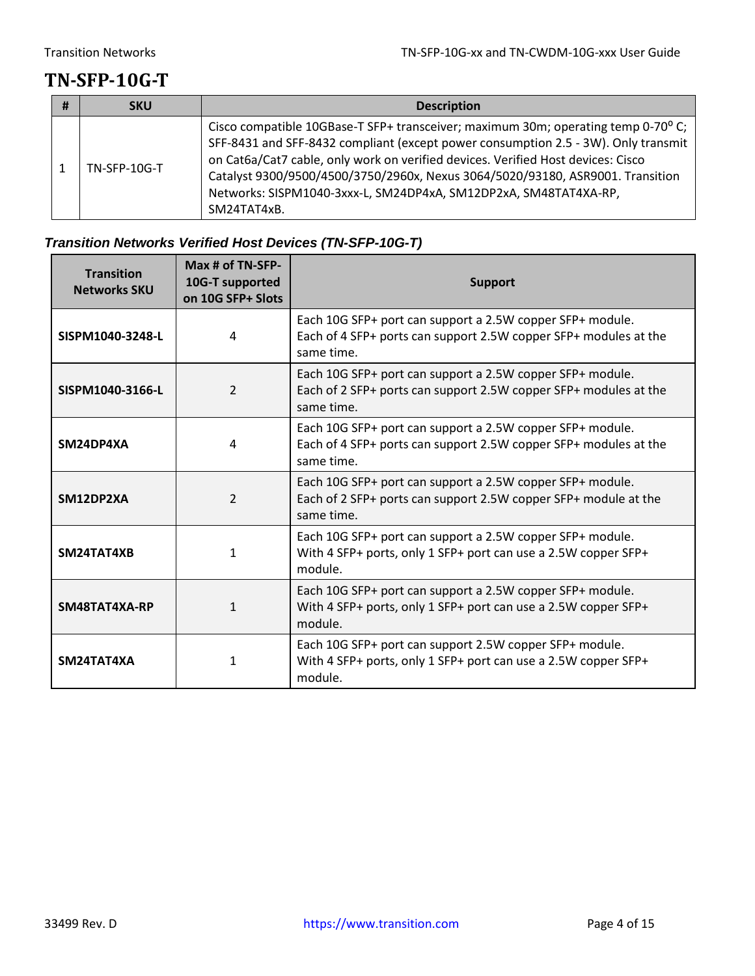### <span id="page-3-0"></span>**TN-SFP-10G-T**

| <b>SKU</b>     | <b>Description</b>                                                                                                                                                                                                                                                                                                                                                                                                               |
|----------------|----------------------------------------------------------------------------------------------------------------------------------------------------------------------------------------------------------------------------------------------------------------------------------------------------------------------------------------------------------------------------------------------------------------------------------|
| $TN-SPP-10G-T$ | Cisco compatible 10GBase-T SFP+ transceiver; maximum 30m; operating temp 0-70° C;<br>SFF-8431 and SFF-8432 compliant (except power consumption 2.5 - 3W). Only transmit<br>on Cat6a/Cat7 cable, only work on verified devices. Verified Host devices: Cisco<br>Catalyst 9300/9500/4500/3750/2960x, Nexus 3064/5020/93180, ASR9001. Transition<br>Networks: SISPM1040-3xxx-L, SM24DP4xA, SM12DP2xA, SM48TAT4XA-RP,<br>SM24TAT4xB. |

### <span id="page-3-1"></span>*Transition Networks Verified Host Devices (TN-SFP-10G-T)*

| <b>Transition</b><br><b>Networks SKU</b> | Max # of TN-SFP-<br>10G-T supported<br>on 10G SFP+ Slots | <b>Support</b>                                                                                                                              |
|------------------------------------------|----------------------------------------------------------|---------------------------------------------------------------------------------------------------------------------------------------------|
| SISPM1040-3248-L                         | 4                                                        | Each 10G SFP+ port can support a 2.5W copper SFP+ module.<br>Each of 4 SFP+ ports can support 2.5W copper SFP+ modules at the<br>same time. |
| SISPM1040-3166-L                         | $\mathcal{P}$                                            | Each 10G SFP+ port can support a 2.5W copper SFP+ module.<br>Each of 2 SFP+ ports can support 2.5W copper SFP+ modules at the<br>same time. |
| SM24DP4XA                                | 4                                                        | Each 10G SFP+ port can support a 2.5W copper SFP+ module.<br>Each of 4 SFP+ ports can support 2.5W copper SFP+ modules at the<br>same time. |
| SM12DP2XA                                | $\overline{2}$                                           | Each 10G SFP+ port can support a 2.5W copper SFP+ module.<br>Each of 2 SFP+ ports can support 2.5W copper SFP+ module at the<br>same time.  |
| SM24TAT4XB                               | 1                                                        | Each 10G SFP+ port can support a 2.5W copper SFP+ module.<br>With 4 SFP+ ports, only 1 SFP+ port can use a 2.5W copper SFP+<br>module.      |
| SM48TAT4XA-RP                            | 1                                                        | Each 10G SFP+ port can support a 2.5W copper SFP+ module.<br>With 4 SFP+ ports, only 1 SFP+ port can use a 2.5W copper SFP+<br>module.      |
| SM24TAT4XA                               | 1                                                        | Each 10G SFP+ port can support 2.5W copper SFP+ module.<br>With 4 SFP+ ports, only 1 SFP+ port can use a 2.5W copper SFP+<br>module.        |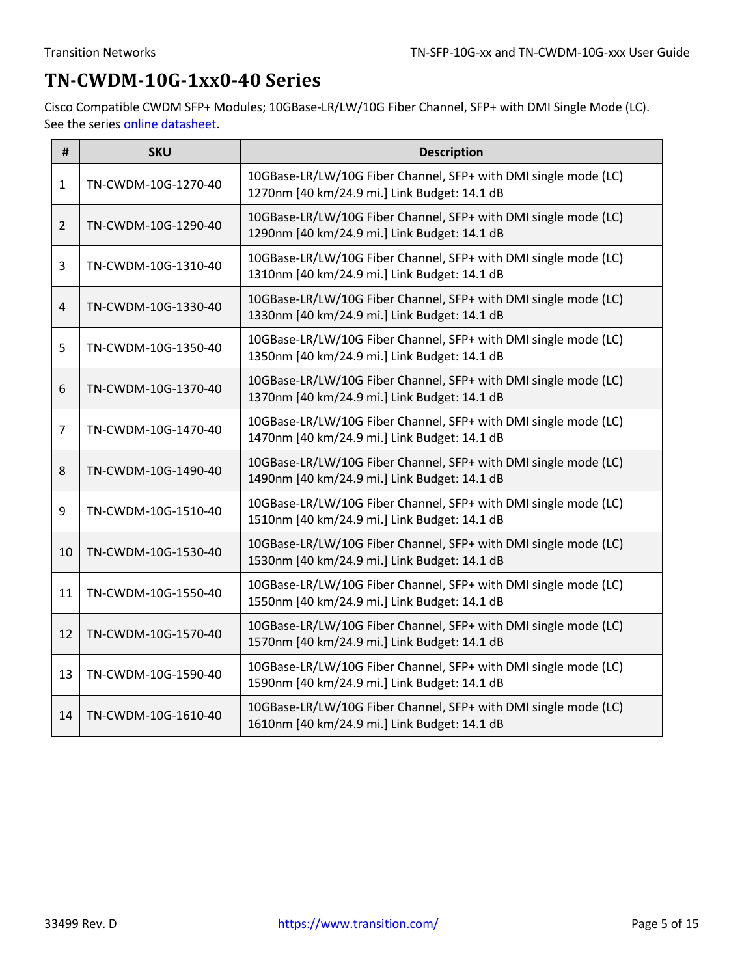### <span id="page-4-0"></span>**TN-CWDM-10G-1xx0-40 Series**

Cisco Compatible CWDM SFP+ Modules; 10GBase-LR/LW/10G Fiber Channel, SFP+ with DMI Single Mode (LC). See the series [online datasheet.](https://www.transition.com/wp-content/uploads/2017/11/TN-CWDM-10G-1xx0-40-Series.pdf)

| #              | <b>SKU</b>          | <b>Description</b>                                                                                              |
|----------------|---------------------|-----------------------------------------------------------------------------------------------------------------|
| $\mathbf{1}$   | TN-CWDM-10G-1270-40 | 10GBase-LR/LW/10G Fiber Channel, SFP+ with DMI single mode (LC)<br>1270nm [40 km/24.9 mi.] Link Budget: 14.1 dB |
| $\overline{2}$ | TN-CWDM-10G-1290-40 | 10GBase-LR/LW/10G Fiber Channel, SFP+ with DMI single mode (LC)<br>1290nm [40 km/24.9 mi.] Link Budget: 14.1 dB |
| 3              | TN-CWDM-10G-1310-40 | 10GBase-LR/LW/10G Fiber Channel, SFP+ with DMI single mode (LC)<br>1310nm [40 km/24.9 mi.] Link Budget: 14.1 dB |
| $\overline{4}$ | TN-CWDM-10G-1330-40 | 10GBase-LR/LW/10G Fiber Channel, SFP+ with DMI single mode (LC)<br>1330nm [40 km/24.9 mi.] Link Budget: 14.1 dB |
| 5              | TN-CWDM-10G-1350-40 | 10GBase-LR/LW/10G Fiber Channel, SFP+ with DMI single mode (LC)<br>1350nm [40 km/24.9 mi.] Link Budget: 14.1 dB |
| 6              | TN-CWDM-10G-1370-40 | 10GBase-LR/LW/10G Fiber Channel, SFP+ with DMI single mode (LC)<br>1370nm [40 km/24.9 mi.] Link Budget: 14.1 dB |
| $\overline{7}$ | TN-CWDM-10G-1470-40 | 10GBase-LR/LW/10G Fiber Channel, SFP+ with DMI single mode (LC)<br>1470nm [40 km/24.9 mi.] Link Budget: 14.1 dB |
| 8              | TN-CWDM-10G-1490-40 | 10GBase-LR/LW/10G Fiber Channel, SFP+ with DMI single mode (LC)<br>1490nm [40 km/24.9 mi.] Link Budget: 14.1 dB |
| 9              | TN-CWDM-10G-1510-40 | 10GBase-LR/LW/10G Fiber Channel, SFP+ with DMI single mode (LC)<br>1510nm [40 km/24.9 mi.] Link Budget: 14.1 dB |
| 10             | TN-CWDM-10G-1530-40 | 10GBase-LR/LW/10G Fiber Channel, SFP+ with DMI single mode (LC)<br>1530nm [40 km/24.9 mi.] Link Budget: 14.1 dB |
| 11             | TN-CWDM-10G-1550-40 | 10GBase-LR/LW/10G Fiber Channel, SFP+ with DMI single mode (LC)<br>1550nm [40 km/24.9 mi.] Link Budget: 14.1 dB |
| 12             | TN-CWDM-10G-1570-40 | 10GBase-LR/LW/10G Fiber Channel, SFP+ with DMI single mode (LC)<br>1570nm [40 km/24.9 mi.] Link Budget: 14.1 dB |
| 13             | TN-CWDM-10G-1590-40 | 10GBase-LR/LW/10G Fiber Channel, SFP+ with DMI single mode (LC)<br>1590nm [40 km/24.9 mi.] Link Budget: 14.1 dB |
| 14             | TN-CWDM-10G-1610-40 | 10GBase-LR/LW/10G Fiber Channel, SFP+ with DMI single mode (LC)<br>1610nm [40 km/24.9 mi.] Link Budget: 14.1 dB |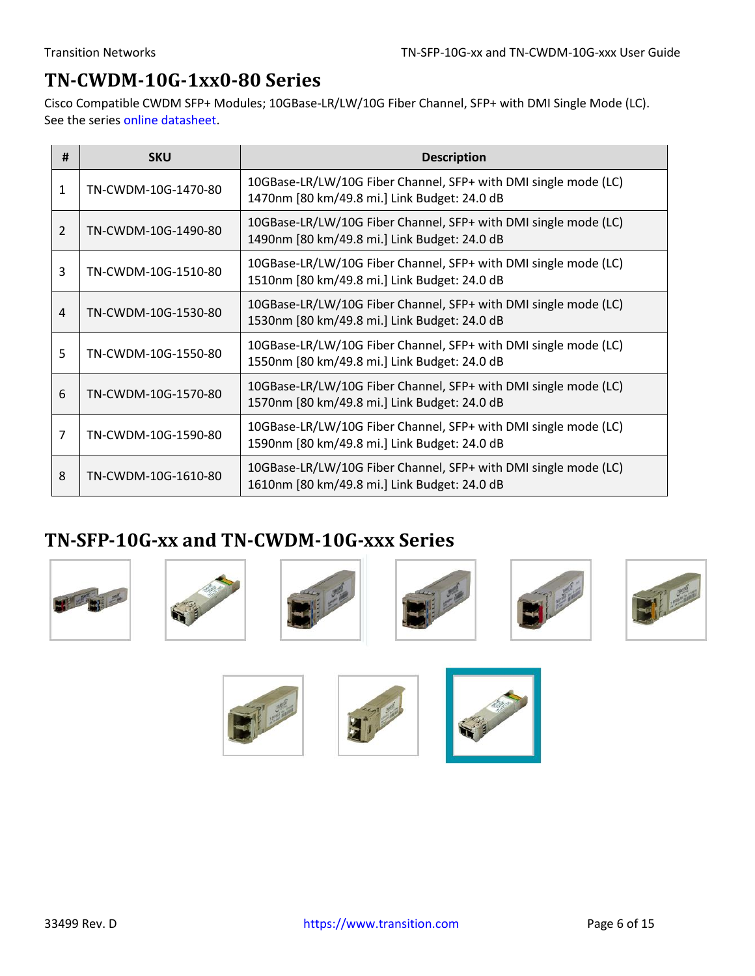## <span id="page-5-0"></span>**TN-CWDM-10G-1xx0-80 Series**

Cisco Compatible CWDM SFP+ Modules; 10GBase-LR/LW/10G Fiber Channel, SFP+ with DMI Single Mode (LC). See the series [online datasheet.](https://www.transition.com/wp-content/uploads/2017/11/TN-CWDM-10G-1xx0-80-Series.pdf)

| # | <b>SKU</b>          | <b>Description</b>                                                                                              |
|---|---------------------|-----------------------------------------------------------------------------------------------------------------|
| 1 | TN-CWDM-10G-1470-80 | 10GBase-LR/LW/10G Fiber Channel, SFP+ with DMI single mode (LC)<br>1470nm [80 km/49.8 mi.] Link Budget: 24.0 dB |
| 2 | TN-CWDM-10G-1490-80 | 10GBase-LR/LW/10G Fiber Channel, SFP+ with DMI single mode (LC)<br>1490nm [80 km/49.8 mi.] Link Budget: 24.0 dB |
| 3 | TN-CWDM-10G-1510-80 | 10GBase-LR/LW/10G Fiber Channel, SFP+ with DMI single mode (LC)<br>1510nm [80 km/49.8 mi.] Link Budget: 24.0 dB |
| 4 | TN-CWDM-10G-1530-80 | 10GBase-LR/LW/10G Fiber Channel, SFP+ with DMI single mode (LC)<br>1530nm [80 km/49.8 mi.] Link Budget: 24.0 dB |
| 5 | TN-CWDM-10G-1550-80 | 10GBase-LR/LW/10G Fiber Channel, SFP+ with DMI single mode (LC)<br>1550nm [80 km/49.8 mi.] Link Budget: 24.0 dB |
| 6 | TN-CWDM-10G-1570-80 | 10GBase-LR/LW/10G Fiber Channel, SFP+ with DMI single mode (LC)<br>1570nm [80 km/49.8 mi.] Link Budget: 24.0 dB |
| 7 | TN-CWDM-10G-1590-80 | 10GBase-LR/LW/10G Fiber Channel, SFP+ with DMI single mode (LC)<br>1590nm [80 km/49.8 mi.] Link Budget: 24.0 dB |
| 8 | TN-CWDM-10G-1610-80 | 10GBase-LR/LW/10G Fiber Channel, SFP+ with DMI single mode (LC)<br>1610nm [80 km/49.8 mi.] Link Budget: 24.0 dB |

### <span id="page-5-1"></span>**TN-SFP-10G-xx and TN-CWDM-10G-xxx Series**













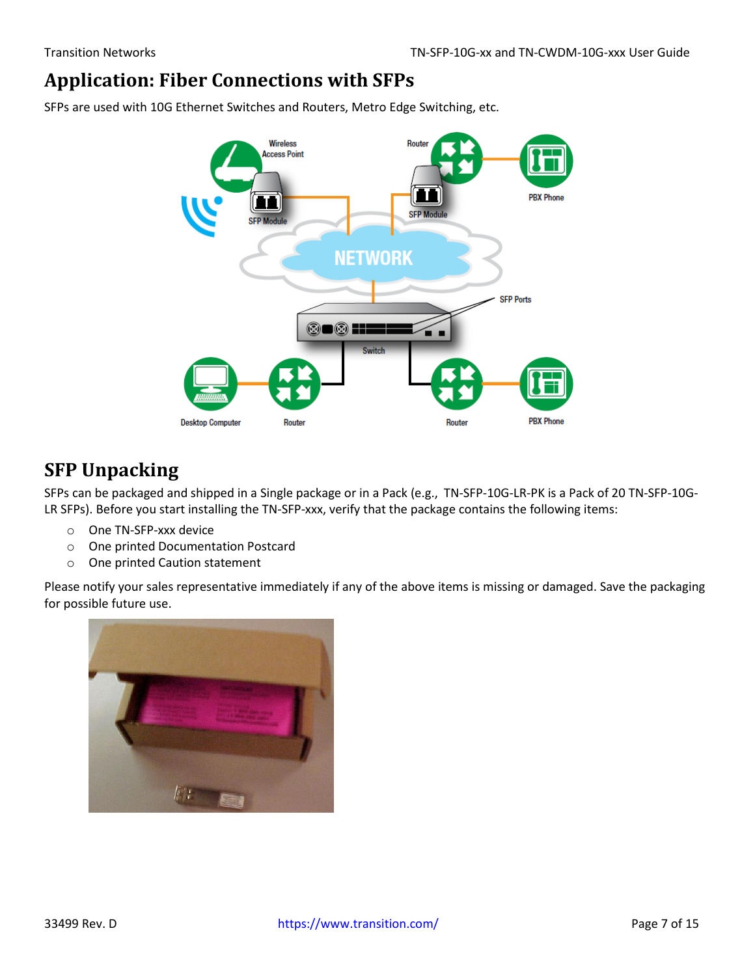### <span id="page-6-0"></span>**Application: Fiber Connections with SFPs**

SFPs are used with 10G Ethernet Switches and Routers, Metro Edge Switching, etc.



### <span id="page-6-1"></span>**SFP Unpacking**

SFPs can be packaged and shipped in a Single package or in a Pack (e.g., TN-SFP-10G-LR-PK is a Pack of 20 TN-SFP-10G-LR SFPs). Before you start installing the TN-SFP-xxx, verify that the package contains the following items:

- o One TN-SFP-xxx device
- o One printed Documentation Postcard
- o One printed Caution statement

Please notify your sales representative immediately if any of the above items is missing or damaged. Save the packaging for possible future use.

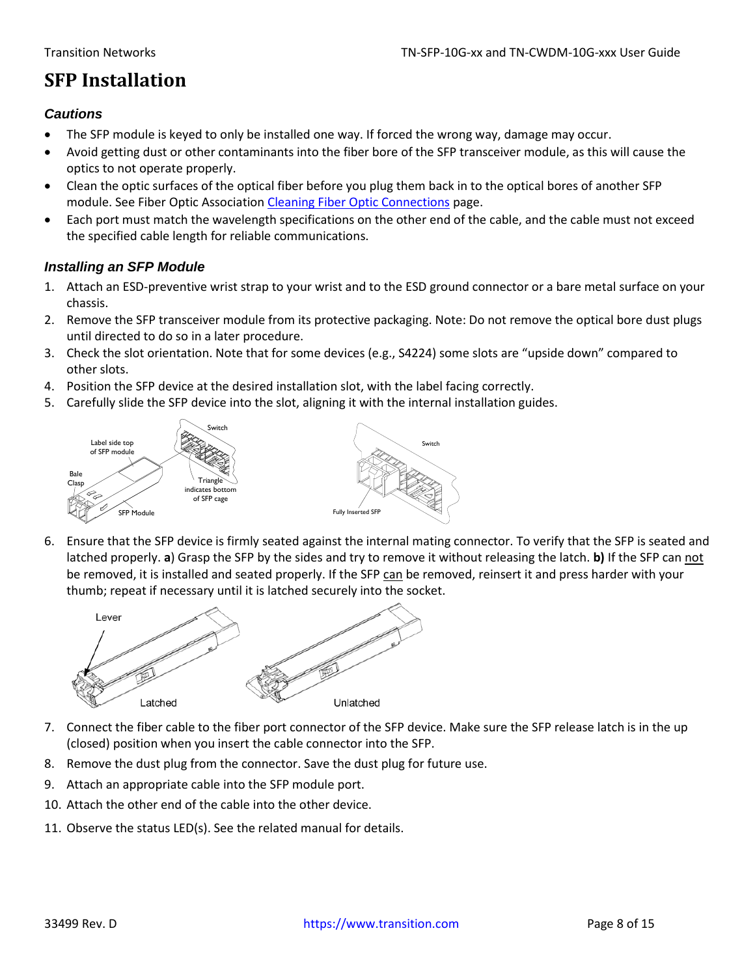### <span id="page-7-0"></span>**SFP Installation**

#### <span id="page-7-1"></span>*Cautions*

- The SFP module is keyed to only be installed one way. If forced the wrong way, damage may occur.
- Avoid getting dust or other contaminants into the fiber bore of the SFP transceiver module, as this will cause the optics to not operate properly.
- Clean the optic surfaces of the optical fiber before you plug them back in to the optical bores of another SFP module. See Fiber Optic Association [Cleaning Fiber Optic Connections](http://www.thefoa.org/tech/ref/termination/cleaning.html) page.
- Each port must match the wavelength specifications on the other end of the cable, and the cable must not exceed the specified cable length for reliable communications.

#### <span id="page-7-2"></span>*Installing an SFP Module*

- 1. Attach an ESD-preventive wrist strap to your wrist and to the ESD ground connector or a bare metal surface on your chassis.
- 2. Remove the SFP transceiver module from its protective packaging. Note: Do not remove the optical bore dust plugs until directed to do so in a later procedure.
- 3. Check the slot orientation. Note that for some devices (e.g., S4224) some slots are "upside down" compared to other slots.
- 4. Position the SFP device at the desired installation slot, with the label facing correctly.
- 5. Carefully slide the SFP device into the slot, aligning it with the internal installation guides.



6. Ensure that the SFP device is firmly seated against the internal mating connector. To verify that the SFP is seated and latched properly. **a**) Grasp the SFP by the sides and try to remove it without releasing the latch. **b)** If the SFP can not be removed, it is installed and seated properly. If the SFP can be removed, reinsert it and press harder with your thumb; repeat if necessary until it is latched securely into the socket.



- 7. Connect the fiber cable to the fiber port connector of the SFP device. Make sure the SFP release latch is in the up (closed) position when you insert the cable connector into the SFP.
- 8. Remove the dust plug from the connector. Save the dust plug for future use.
- 9. Attach an appropriate cable into the SFP module port.
- 10. Attach the other end of the cable into the other device.
- 11. Observe the status LED(s). See the related manual for details.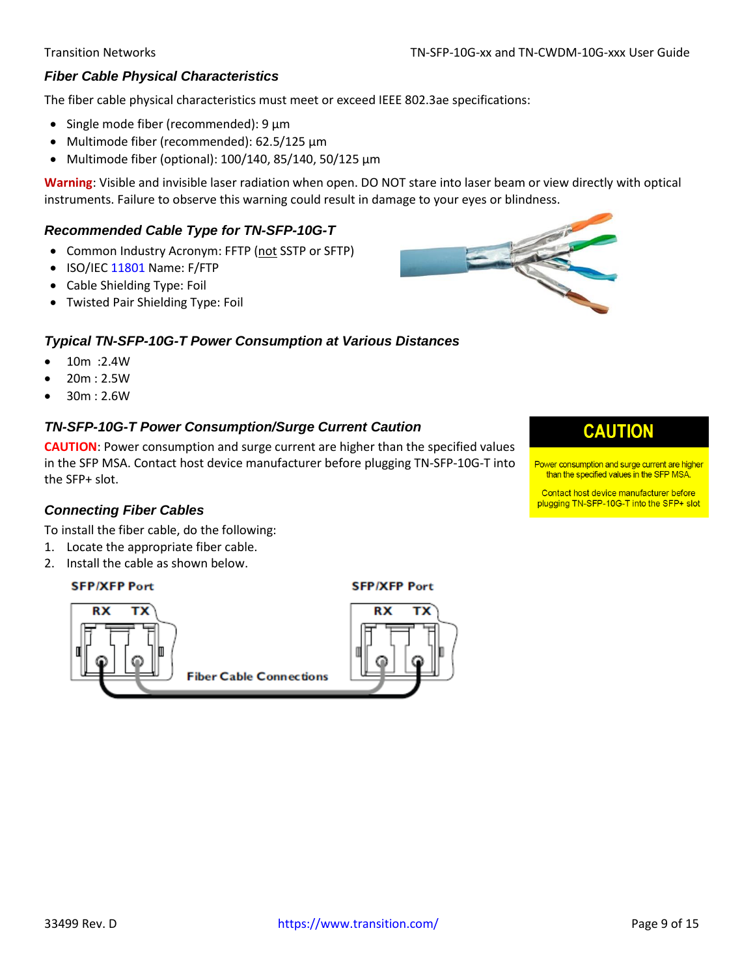#### <span id="page-8-0"></span>*Fiber Cable Physical Characteristics*

The fiber cable physical characteristics must meet or exceed IEEE 802.3ae specifications:

- Single mode fiber (recommended): 9 μm
- Multimode fiber (recommended): 62.5/125 μm
- Multimode fiber (optional): 100/140, 85/140, 50/125 μm

**Warning**: Visible and invisible laser radiation when open. DO NOT stare into laser beam or view directly with optical instruments. Failure to observe this warning could result in damage to your eyes or blindness.

#### <span id="page-8-1"></span>*Recommended Cable Type for TN-SFP-10G-T*

- Common Industry Acronym: FFTP (not SSTP or SFTP)
- ISO/IEC [11801](https://www.iso.org/obp/ui/#iso:std:66182:en) Name: F/FTP
- Cable Shielding Type: Foil
- Twisted Pair Shielding Type: Foil

#### <span id="page-8-2"></span>*Typical TN-SFP-10G-T Power Consumption at Various Distances*

- 10m :2.4W
- $20m : 2.5W$
- <span id="page-8-3"></span> $30m : 2.6W$

#### *TN-SFP-10G-T Power Consumption/Surge Current Caution*

**CAUTION**: Power consumption and surge current are higher than the specified values in the SFP MSA. Contact host device manufacturer before plugging TN-SFP-10G-T into the SFP+ slot.

# **CAUTION**

Power consumption and surge current are higher than the specified values in the SFP MSA.

Contact host device manufacturer before plugging TN-SFP-10G-T into the SFP+ slot

#### <span id="page-8-4"></span>*Connecting Fiber Cables*

To install the fiber cable, do the following:

- 1. Locate the appropriate fiber cable.
- 2. Install the cable as shown below.

#### **SFP/XFP Port**



**SFP/XFP Port**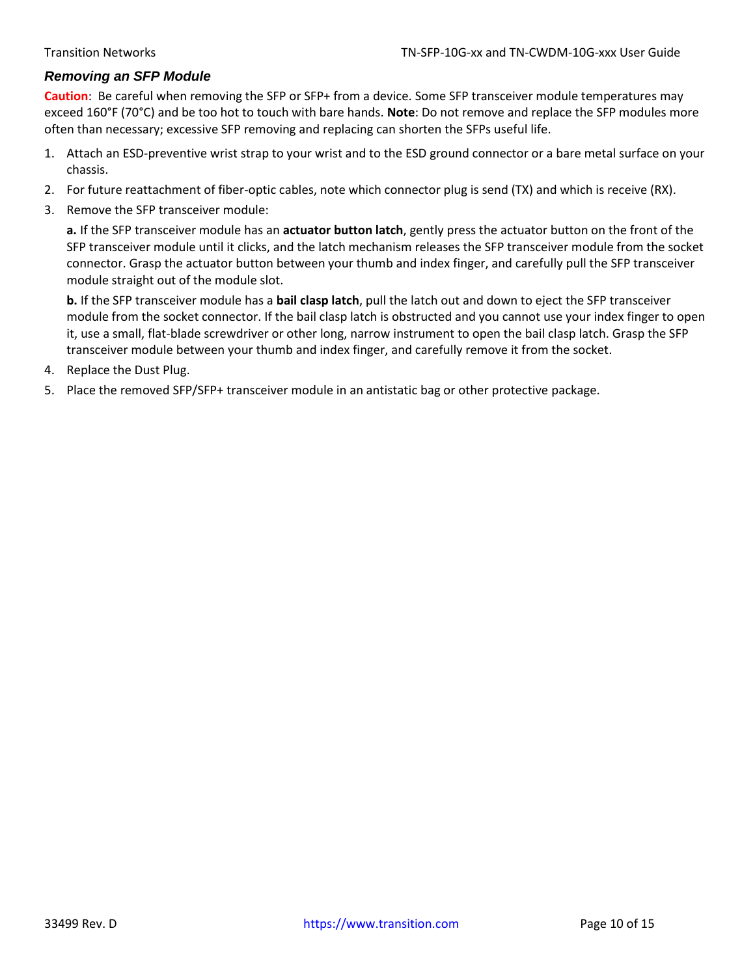#### <span id="page-9-0"></span>*Removing an SFP Module*

**Caution**: Be careful when removing the SFP or SFP+ from a device. Some SFP transceiver module temperatures may exceed 160°F (70°C) and be too hot to touch with bare hands. **Note**: Do not remove and replace the SFP modules more often than necessary; excessive SFP removing and replacing can shorten the SFPs useful life.

- 1. Attach an ESD-preventive wrist strap to your wrist and to the ESD ground connector or a bare metal surface on your chassis.
- 2. For future reattachment of fiber-optic cables, note which connector plug is send (TX) and which is receive (RX).
- 3. Remove the SFP transceiver module:

**a.** If the SFP transceiver module has an **actuator button latch**, gently press the actuator button on the front of the SFP transceiver module until it clicks, and the latch mechanism releases the SFP transceiver module from the socket connector. Grasp the actuator button between your thumb and index finger, and carefully pull the SFP transceiver module straight out of the module slot.

**b.** If the SFP transceiver module has a **bail clasp latch**, pull the latch out and down to eject the SFP transceiver module from the socket connector. If the bail clasp latch is obstructed and you cannot use your index finger to open it, use a small, flat-blade screwdriver or other long, narrow instrument to open the bail clasp latch. Grasp the SFP transceiver module between your thumb and index finger, and carefully remove it from the socket.

- 4. Replace the Dust Plug.
- 5. Place the removed SFP/SFP+ transceiver module in an antistatic bag or other protective package.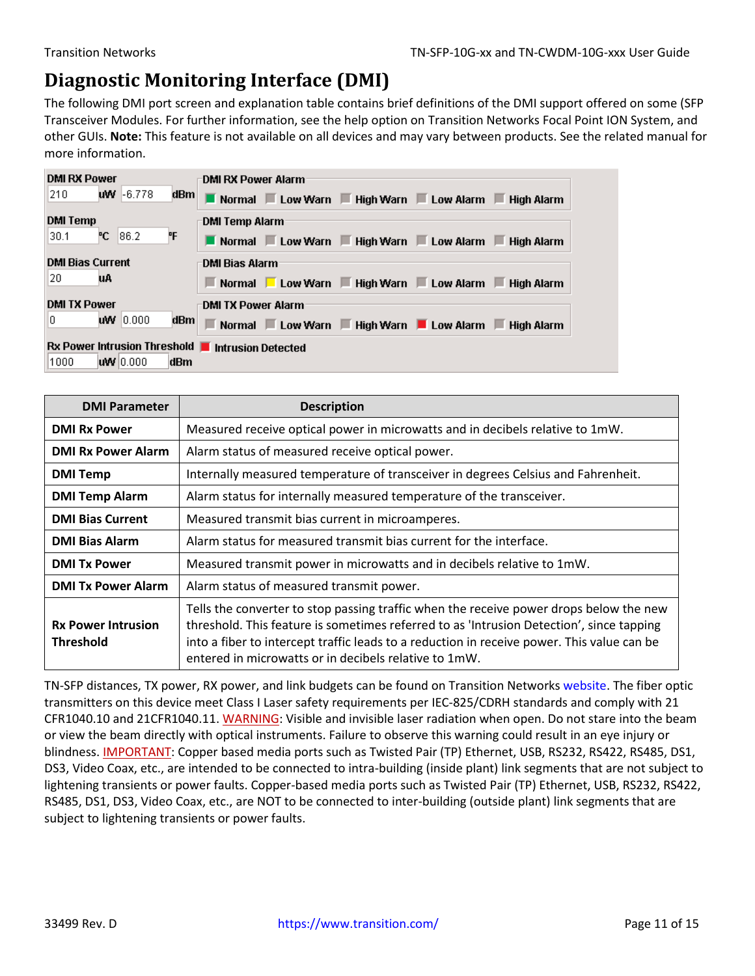### <span id="page-10-0"></span>**Diagnostic Monitoring Interface (DMI)**

The following DMI port screen and explanation table contains brief definitions of the DMI support offered on some (SFP Transceiver Modules. For further information, see the help option on Transition Networks Focal Point ION System, and other GUIs. **Note:** This feature is not available on all devices and may vary between products. See the related manual for more information.

| <b>DMI RX Power</b>                               | <b>DMI RX Power Alarm</b>                          |
|---------------------------------------------------|----------------------------------------------------|
| 210<br>$WW - 6.778$<br>dBm                        | Normal Low Warn High Warn Low Alarm High Alarm     |
| <b>DMI Temp</b>                                   | <b>DMI Temp Alarm</b>                              |
| ۴F<br>°С.<br>186.2<br>30.1                        | Normal Low Warn High Warn Low Alarm High Alarm     |
| <b>DMI Bias Current</b>                           | DMI Bias Alarm                                     |
| 20<br>uA                                          | Normal Low Warn Figh Warn Low Alarm Filigh Alarm   |
| <b>DMI TX Power</b>                               | <b>DMI TX Power Alarm</b>                          |
| <b>uw</b> 10,000<br>0<br>dBm∣                     | Normal Low Warn F High Warn Low Alarm F High Alarm |
| Rx Power Intrusion Threshold   Intrusion Detected |                                                    |
| 1000<br>W10.000<br>dBm                            |                                                    |

| <b>DMI Parameter</b>                          | <b>Description</b>                                                                                                                                                                                                                                                                                                                        |  |  |  |
|-----------------------------------------------|-------------------------------------------------------------------------------------------------------------------------------------------------------------------------------------------------------------------------------------------------------------------------------------------------------------------------------------------|--|--|--|
| <b>DMI Rx Power</b>                           | Measured receive optical power in microwatts and in decibels relative to 1mW.                                                                                                                                                                                                                                                             |  |  |  |
| <b>DMI Rx Power Alarm</b>                     | Alarm status of measured receive optical power.                                                                                                                                                                                                                                                                                           |  |  |  |
| <b>DMI Temp</b>                               | Internally measured temperature of transceiver in degrees Celsius and Fahrenheit.                                                                                                                                                                                                                                                         |  |  |  |
| <b>DMI Temp Alarm</b>                         | Alarm status for internally measured temperature of the transceiver.                                                                                                                                                                                                                                                                      |  |  |  |
| <b>DMI Bias Current</b>                       | Measured transmit bias current in microamperes.                                                                                                                                                                                                                                                                                           |  |  |  |
| <b>DMI Bias Alarm</b>                         | Alarm status for measured transmit bias current for the interface.                                                                                                                                                                                                                                                                        |  |  |  |
| <b>DMI Tx Power</b>                           | Measured transmit power in microwatts and in decibels relative to 1mW.                                                                                                                                                                                                                                                                    |  |  |  |
| <b>DMI Tx Power Alarm</b>                     | Alarm status of measured transmit power.                                                                                                                                                                                                                                                                                                  |  |  |  |
| <b>Rx Power Intrusion</b><br><b>Threshold</b> | Tells the converter to stop passing traffic when the receive power drops below the new<br>threshold. This feature is sometimes referred to as 'Intrusion Detection', since tapping<br>into a fiber to intercept traffic leads to a reduction in receive power. This value can be<br>entered in microwatts or in decibels relative to 1mW. |  |  |  |

TN-SFP distances, TX power, RX power, and link budgets can be found on Transition Networks [website.](https://www.transition.com/lines/optical-devices) The fiber optic transmitters on this device meet Class I Laser safety requirements per IEC-825/CDRH standards and comply with 21 CFR1040.10 and 21CFR1040.11. WARNING: Visible and invisible laser radiation when open. Do not stare into the beam or view the beam directly with optical instruments. Failure to observe this warning could result in an eye injury or blindness. IMPORTANT: Copper based media ports such as Twisted Pair (TP) Ethernet, USB, RS232, RS422, RS485, DS1, DS3, Video Coax, etc., are intended to be connected to intra-building (inside plant) link segments that are not subject to lightening transients or power faults. Copper-based media ports such as Twisted Pair (TP) Ethernet, USB, RS232, RS422, RS485, DS1, DS3, Video Coax, etc., are NOT to be connected to inter-building (outside plant) link segments that are subject to lightening transients or power faults.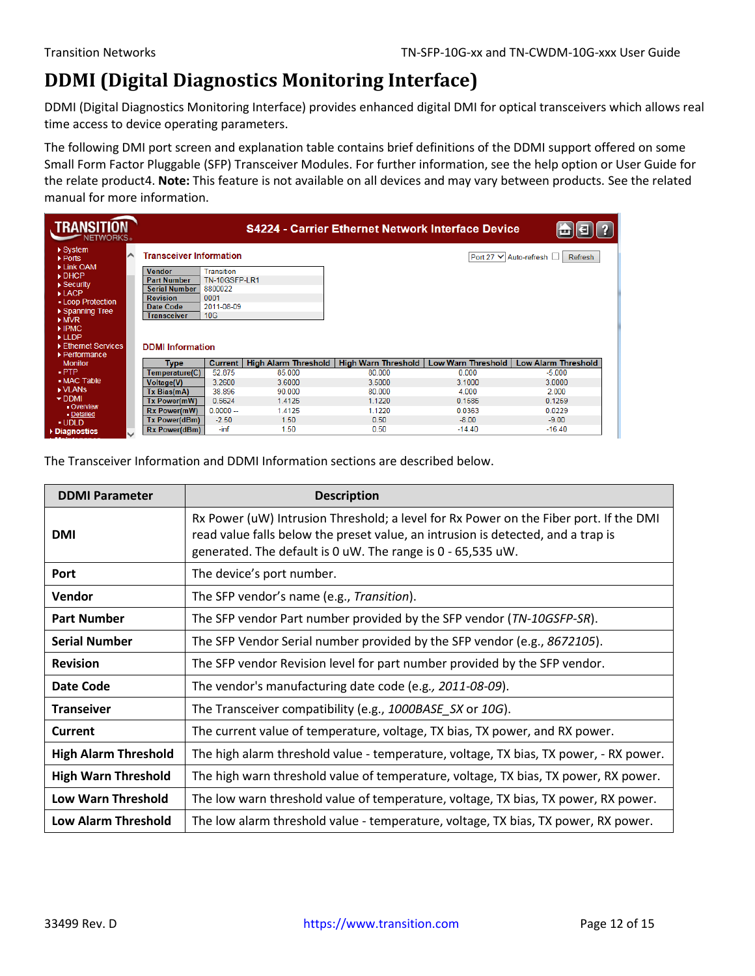## <span id="page-11-0"></span>**DDMI (Digital Diagnostics Monitoring Interface)**

DDMI (Digital Diagnostics Monitoring Interface) provides enhanced digital DMI for optical transceivers which allows real time access to device operating parameters.

The following DMI port screen and explanation table contains brief definitions of the DDMI support offered on some Small Form Factor Pluggable (SFP) Transceiver Modules. For further information, see the help option or User Guide for the relate product4. **Note:** This feature is not available on all devices and may vary between products. See the related manual for more information.

| <b>TRANSITION</b><br>NETWORKS <sub>®</sub>        |              |                                         |                      |                             | <b>S4224 - Carrier Ethernet Network Interface Device</b> |                    |                                     |
|---------------------------------------------------|--------------|-----------------------------------------|----------------------|-----------------------------|----------------------------------------------------------|--------------------|-------------------------------------|
| $\triangleright$ System<br>$\triangleright$ Ports | ⌒            | <b>Transceiver Information</b>          |                      |                             |                                                          |                    | Port 27 V Auto-refresh □<br>Refresh |
| Link OAM<br>$\triangleright$ DHCP                 |              | <b>Vendor</b>                           | <b>Transition</b>    |                             |                                                          |                    |                                     |
| $\triangleright$ Security                         |              | <b>Part Number</b>                      | <b>TN-10GSFP-LR1</b> |                             |                                                          |                    |                                     |
| $\blacktriangleright$ LACP                        |              | <b>Serial Number</b><br><b>Revision</b> | 8800022<br>0001      |                             |                                                          |                    |                                     |
| • Loop Protection                                 |              | Date Code                               | 2011-08-09           |                             |                                                          |                    |                                     |
| ▶ Spanning Tree                                   |              | <b>Transceiver</b>                      | 10G                  |                             |                                                          |                    |                                     |
| MVR                                               |              |                                         |                      |                             |                                                          |                    |                                     |
| $\blacktriangleright$ IPMC.                       |              |                                         |                      |                             |                                                          |                    |                                     |
| $\blacktriangleright$ LLDP                        |              |                                         |                      |                             |                                                          |                    |                                     |
| Ethernet Services                                 |              | <b>DDMI</b> Information                 |                      |                             |                                                          |                    |                                     |
| $\blacktriangleright$ Performance                 |              |                                         |                      |                             |                                                          |                    |                                     |
| <b>Monitor</b>                                    |              | <b>Type</b>                             | <b>Current</b>       | <b>High Alarm Threshold</b> | <b>High Warn Threshold</b>                               | Low Warn Threshold | <b>Low Alarm Threshold</b>          |
| $\blacksquare$ PTP                                |              | Temperature(C)                          | 52.875               | 85.000                      | 80.000                                                   | 0.000              | $-5.000$                            |
| • MAC Table                                       |              | <b>Voltage(V)</b>                       | 3.2600               | 3.6000                      | 3.5000                                                   | 3.1000             | 3.0000                              |
| ▶ VLANS                                           |              | Tx Bias(mA)                             | 38.896               | 90.000                      | 80.000                                                   | 4.000              | 2.000                               |
| $\blacktriangleright$ DDMI                        |              | Tx Power(mW)                            | 0.5624               | 1.4125                      | 1.1220                                                   | 0.1585             | 0.1259                              |
| - Overview<br>- Detailed                          |              | <b>Rx Power(mW)</b>                     | $0.0000 -$           | 1.4125                      | 1.1220                                                   | 0.0363             | 0.0229                              |
| · UDLD                                            |              | Tx Power(dBm)                           | $-2.50$              | 1.50                        | 0.50                                                     | $-8.00$            | $-9.00$                             |
| Diagnostics                                       | $\checkmark$ | Rx Power(dBm)                           | -inf                 | 1.50                        | 0.50                                                     | $-14.40$           | $-16.40$                            |

The Transceiver Information and DDMI Information sections are described below.

| <b>DDMI Parameter</b>       | <b>Description</b>                                                                                                                                                                                                                       |
|-----------------------------|------------------------------------------------------------------------------------------------------------------------------------------------------------------------------------------------------------------------------------------|
| <b>DMI</b>                  | Rx Power (uW) Intrusion Threshold; a level for Rx Power on the Fiber port. If the DMI<br>read value falls below the preset value, an intrusion is detected, and a trap is<br>generated. The default is 0 uW. The range is 0 - 65,535 uW. |
| Port                        | The device's port number.                                                                                                                                                                                                                |
| <b>Vendor</b>               | The SFP vendor's name (e.g., Transition).                                                                                                                                                                                                |
| <b>Part Number</b>          | The SFP vendor Part number provided by the SFP vendor (TN-10GSFP-SR).                                                                                                                                                                    |
| <b>Serial Number</b>        | The SFP Vendor Serial number provided by the SFP vendor (e.g., 8672105).                                                                                                                                                                 |
| <b>Revision</b>             | The SFP vendor Revision level for part number provided by the SFP vendor.                                                                                                                                                                |
| Date Code                   | The vendor's manufacturing date code (e.g., 2011-08-09).                                                                                                                                                                                 |
| <b>Transeiver</b>           | The Transceiver compatibility (e.g., 1000BASE_SX or 10G).                                                                                                                                                                                |
| <b>Current</b>              | The current value of temperature, voltage, TX bias, TX power, and RX power.                                                                                                                                                              |
| <b>High Alarm Threshold</b> | The high alarm threshold value - temperature, voltage, TX bias, TX power, - RX power.                                                                                                                                                    |
| <b>High Warn Threshold</b>  | The high warn threshold value of temperature, voltage, TX bias, TX power, RX power.                                                                                                                                                      |
| <b>Low Warn Threshold</b>   | The low warn threshold value of temperature, voltage, TX bias, TX power, RX power.                                                                                                                                                       |
| <b>Low Alarm Threshold</b>  | The low alarm threshold value - temperature, voltage, TX bias, TX power, RX power.                                                                                                                                                       |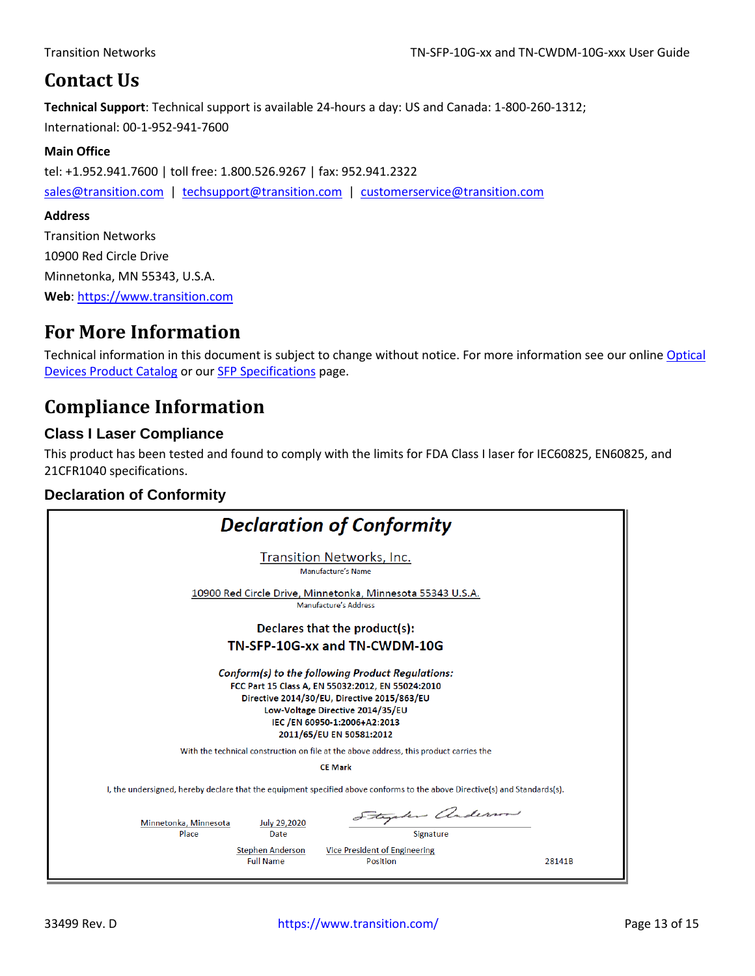### <span id="page-12-0"></span>**Contact Us**

**Technical Support**: Technical support is available 24-hours a day: US and Canada: 1-800-260-1312; International: 00-1-952-941-7600

#### **Main Office**

tel: +1.952.941.7600 | toll free: 1.800.526.9267 | fax: 952.941.2322

[sales@transition.com](mailto:sales@transition.com) | [techsupport@transition.com](mailto:techsupport@transition.com) | [customerservice@transition.com](mailto:customerservice@transition.com)

#### **Address**

Transition Networks 10900 Red Circle Drive Minnetonka, MN 55343, U.S.A. **Web**: [https://www.transition.com](https://www.transition.com/) 

### <span id="page-12-1"></span>**For More Information**

Technical information in this document is subject to change without notice. For more information see our online Optical [Devices Product Catalog](https://www.transition.com/wp-content/uploads/2016/05/Optical-Devices-Catalog.pdf) or ou[r SFP Specifications](https://www.transition.com/wp-content/uploads/2016/05/SFP-Specifications.pdf) page.

### <span id="page-12-2"></span>**Compliance Information**

### **Class I Laser Compliance**

This product has been tested and found to comply with the limits for FDA Class I laser for IEC60825, EN60825, and 21CFR1040 specifications.

### **Declaration of Conformity**

| <b>Declaration of Conformity</b>                                                                                                                                                                                                                     |  |  |  |  |
|------------------------------------------------------------------------------------------------------------------------------------------------------------------------------------------------------------------------------------------------------|--|--|--|--|
| Transition Networks, Inc.<br>Manufacture's Name                                                                                                                                                                                                      |  |  |  |  |
| 10900 Red Circle Drive, Minnetonka, Minnesota 55343 U.S.A.<br>Manufacture's Address                                                                                                                                                                  |  |  |  |  |
| Declares that the product(s):                                                                                                                                                                                                                        |  |  |  |  |
| TN-SFP-10G-xx and TN-CWDM-10G                                                                                                                                                                                                                        |  |  |  |  |
| Conform(s) to the following Product Regulations:<br>FCC Part 15 Class A, EN 55032:2012, EN 55024:2010<br>Directive 2014/30/EU, Directive 2015/863/EU<br>Low-Voltage Directive 2014/35/EU<br>IEC /EN 60950-1:2006+A2:2013<br>2011/65/EU EN 50581:2012 |  |  |  |  |
| With the technical construction on file at the above address, this product carries the                                                                                                                                                               |  |  |  |  |
| <b>CE Mark</b><br>I, the undersigned, hereby declare that the equipment specified above conforms to the above Directive(s) and Standards(s).                                                                                                         |  |  |  |  |
| Stephen Anderson<br>Minnetonka, Minnesota<br><b>July 29,2020</b><br>Signature<br>Place<br>Date<br><b>Stephen Anderson</b><br>Vice President of Engineering<br><b>Full Name</b><br><b>Position</b><br>28141B                                          |  |  |  |  |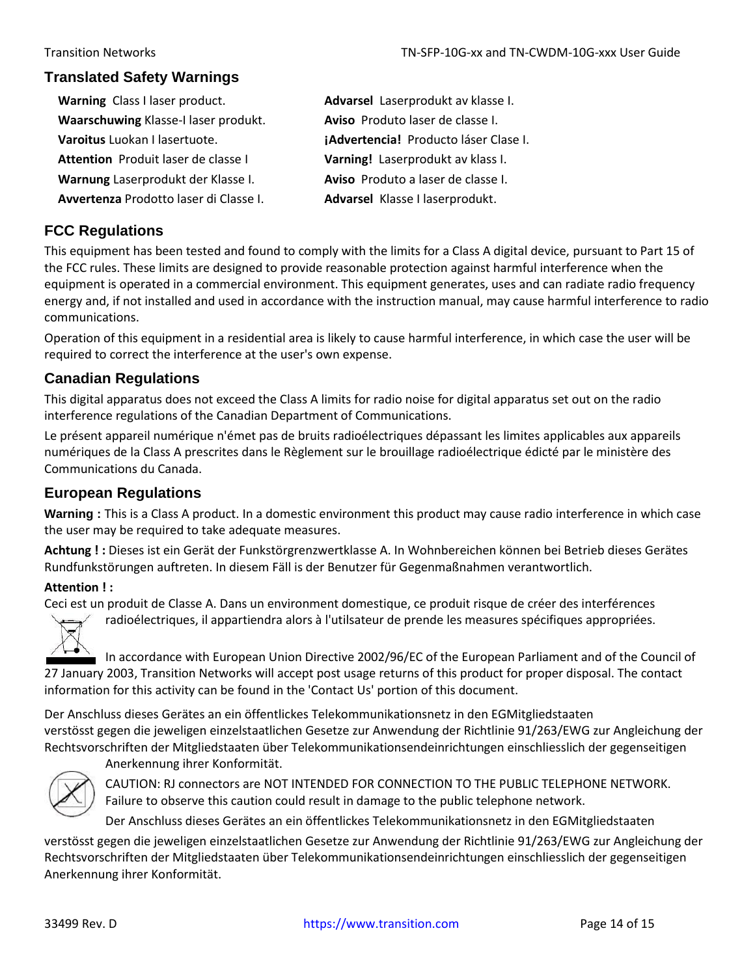#### **Translated Safety Warnings**

- Warning Class I laser product. **Advarsel** Laserprodukt av klasse I. **Waarschuwing** Klasse-I laser produkt. **Aviso** Produto laser de classe I. **Attention** Produit laser de classe I **Varning!** Laserprodukt av klass I.
- 
- 

# **Varoitus** Luokan I lasertuote. **¡Advertencia!** Producto láser Clase I. **Warnung** Laserprodukt der Klasse I. **Aviso** Produto a laser de classe I. **Avvertenza** Prodotto laser di Classe I. **Advarsel** Klasse I laserprodukt.

### **FCC Regulations**

This equipment has been tested and found to comply with the limits for a Class A digital device, pursuant to Part 15 of the FCC rules. These limits are designed to provide reasonable protection against harmful interference when the equipment is operated in a commercial environment. This equipment generates, uses and can radiate radio frequency energy and, if not installed and used in accordance with the instruction manual, may cause harmful interference to radio communications.

Operation of this equipment in a residential area is likely to cause harmful interference, in which case the user will be required to correct the interference at the user's own expense.

#### **Canadian Regulations**

This digital apparatus does not exceed the Class A limits for radio noise for digital apparatus set out on the radio interference regulations of the Canadian Department of Communications.

Le présent appareil numérique n'émet pas de bruits radioélectriques dépassant les limites applicables aux appareils numériques de la Class A prescrites dans le Règlement sur le brouillage radioélectrique édicté par le ministère des Communications du Canada.

### **European Regulations**

**Warning :** This is a Class A product. In a domestic environment this product may cause radio interference in which case the user may be required to take adequate measures.

**Achtung ! :** Dieses ist ein Gerät der Funkstörgrenzwertklasse A. In Wohnbereichen können bei Betrieb dieses Gerätes Rundfunkstörungen auftreten. In diesem Fäll is der Benutzer für Gegenmaßnahmen verantwortlich.

#### **Attention ! :**

Ceci est un produit de Classe A. Dans un environment domestique, ce produit risque de créer des interférences

radioélectriques, il appartiendra alors à l'utilsateur de prende les measures spécifiques appropriées.

In accordance with European Union Directive 2002/96/EC of the European Parliament and of the Council of 27 January 2003, Transition Networks will accept post usage returns of this product for proper disposal. The contact information for this activity can be found in the 'Contact Us' portion of this document.

Der Anschluss dieses Gerätes an ein öffentlickes Telekommunikationsnetz in den EGMitgliedstaaten verstösst gegen die jeweligen einzelstaatlichen Gesetze zur Anwendung der Richtlinie 91/263/EWG zur Angleichung der Rechtsvorschriften der Mitgliedstaaten über Telekommunikationsendeinrichtungen einschliesslich der gegenseitigen Anerkennung ihrer Konformität.



CAUTION: RJ connectors are NOT INTENDED FOR CONNECTION TO THE PUBLIC TELEPHONE NETWORK. Failure to observe this caution could result in damage to the public telephone network.

Der Anschluss dieses Gerätes an ein öffentlickes Telekommunikationsnetz in den EGMitgliedstaaten

verstösst gegen die jeweligen einzelstaatlichen Gesetze zur Anwendung der Richtlinie 91/263/EWG zur Angleichung der Rechtsvorschriften der Mitgliedstaaten über Telekommunikationsendeinrichtungen einschliesslich der gegenseitigen Anerkennung ihrer Konformität.